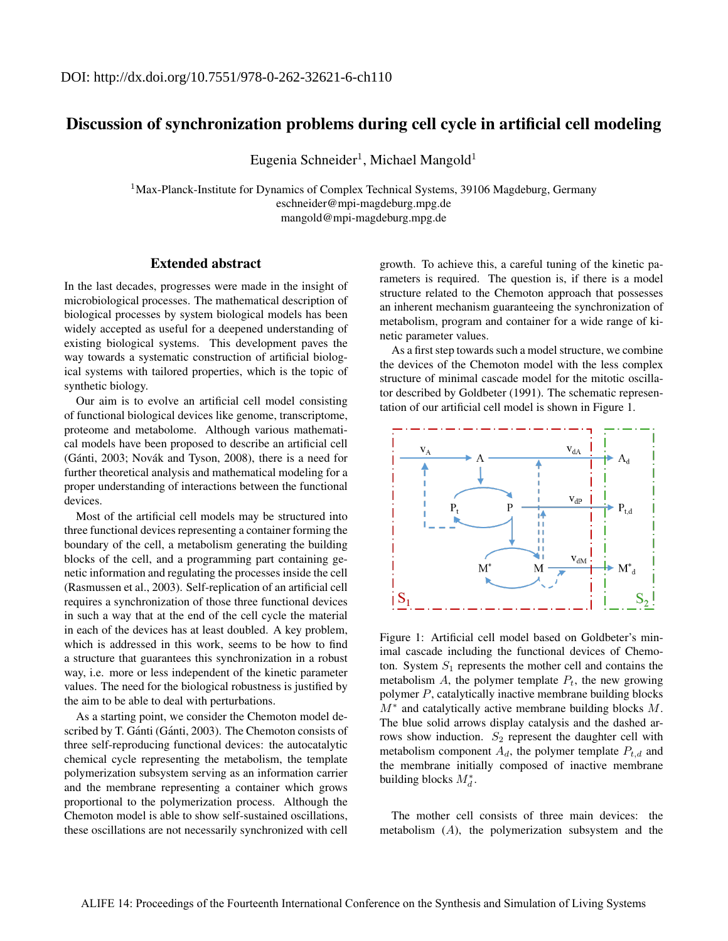## Discussion of synchronization problems during cell cycle in artificial cell modeling

Eugenia Schneider<sup>1</sup>, Michael Mangold<sup>1</sup>

 $1$ Max-Planck-Institute for Dynamics of Complex Technical Systems, 39106 Magdeburg, Germany eschneider@mpi-magdeburg.mpg.de mangold@mpi-magdeburg.mpg.de

## Extended abstract

In the last decades, progresses were made in the insight of microbiological processes. The mathematical description of biological processes by system biological models has been widely accepted as useful for a deepened understanding of existing biological systems. This development paves the way towards a systematic construction of artificial biological systems with tailored properties, which is the topic of synthetic biology.

Our aim is to evolve an artificial cell model consisting of functional biological devices like genome, transcriptome, proteome and metabolome. Although various mathematical models have been proposed to describe an artificial cell (Gánti, 2003; Novák and Tyson, 2008), there is a need for further theoretical analysis and mathematical modeling for a proper understanding of interactions between the functional devices.

Most of the artificial cell models may be structured into three functional devices representing a container forming the boundary of the cell, a metabolism generating the building blocks of the cell, and a programming part containing genetic information and regulating the processes inside the cell (Rasmussen et al., 2003). Self-replication of an artificial cell requires a synchronization of those three functional devices in such a way that at the end of the cell cycle the material in each of the devices has at least doubled. A key problem, which is addressed in this work, seems to be how to find a structure that guarantees this synchronization in a robust way, i.e. more or less independent of the kinetic parameter values. The need for the biological robustness is justified by the aim to be able to deal with perturbations.

As a starting point, we consider the Chemoton model described by T. Gánti (Gánti, 2003). The Chemoton consists of three self-reproducing functional devices: the autocatalytic chemical cycle representing the metabolism, the template polymerization subsystem serving as an information carrier and the membrane representing a container which grows proportional to the polymerization process. Although the Chemoton model is able to show self-sustained oscillations, these oscillations are not necessarily synchronized with cell

growth. To achieve this, a careful tuning of the kinetic parameters is required. The question is, if there is a model structure related to the Chemoton approach that possesses an inherent mechanism guaranteeing the synchronization of metabolism, program and container for a wide range of kinetic parameter values.

As a first step towards such a model structure, we combine the devices of the Chemoton model with the less complex structure of minimal cascade model for the mitotic oscillator described by Goldbeter (1991). The schematic representation of our artificial cell model is shown in Figure 1.



Figure 1: Artificial cell model based on Goldbeter's minimal cascade including the functional devices of Chemoton. System  $S_1$  represents the mother cell and contains the metabolism  $A$ , the polymer template  $P_t$ , the new growing polymer P, catalytically inactive membrane building blocks  $M^*$  and catalytically active membrane building blocks M. The blue solid arrows display catalysis and the dashed arrows show induction.  $S_2$  represent the daughter cell with metabolism component  $A_d$ , the polymer template  $P_{t,d}$  and the membrane initially composed of inactive membrane building blocks  $M_d^*$ .

The mother cell consists of three main devices: the metabolism (A), the polymerization subsystem and the